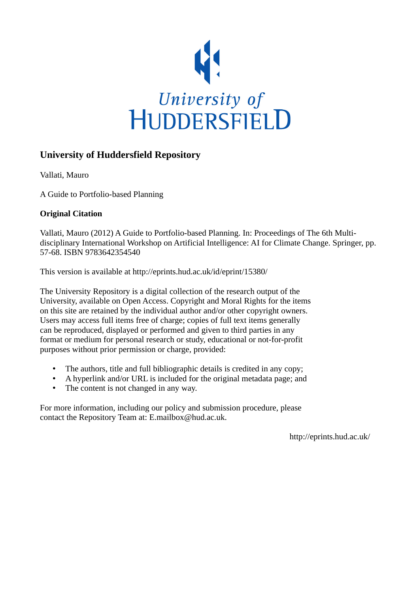

# **University of Huddersfield Repository**

Vallati, Mauro

A Guide to Portfolio-based Planning

## **Original Citation**

Vallati, Mauro (2012) A Guide to Portfolio-based Planning. In: Proceedings of The 6th Multidisciplinary International Workshop on Artificial Intelligence: AI for Climate Change. Springer, pp. 57-68. ISBN 9783642354540

This version is available at http://eprints.hud.ac.uk/id/eprint/15380/

The University Repository is a digital collection of the research output of the University, available on Open Access. Copyright and Moral Rights for the items on this site are retained by the individual author and/or other copyright owners. Users may access full items free of charge; copies of full text items generally can be reproduced, displayed or performed and given to third parties in any format or medium for personal research or study, educational or not-for-profit purposes without prior permission or charge, provided:

- The authors, title and full bibliographic details is credited in any copy;
- A hyperlink and/or URL is included for the original metadata page; and
- The content is not changed in any way.

For more information, including our policy and submission procedure, please contact the Repository Team at: E.mailbox@hud.ac.uk.

http://eprints.hud.ac.uk/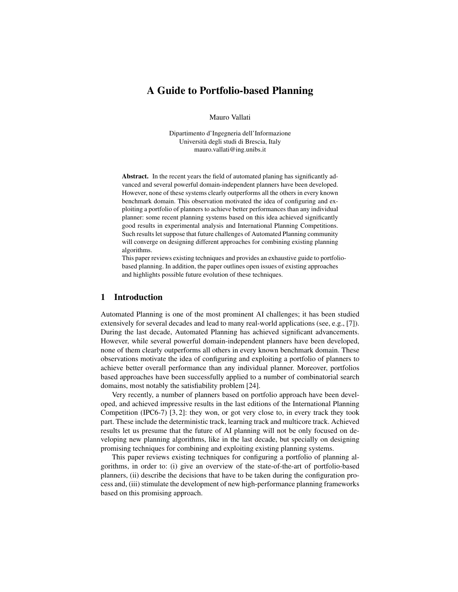## A Guide to Portfolio-based Planning

Mauro Vallati

Dipartimento d'Ingegneria dell'Informazione Universita degli studi di Brescia, Italy ` mauro.vallati@ing.unibs.it

Abstract. In the recent years the field of automated planing has significantly advanced and several powerful domain-independent planners have been developed. However, none of these systems clearly outperforms all the others in every known benchmark domain. This observation motivated the idea of configuring and exploiting a portfolio of planners to achieve better performances than any individual planner: some recent planning systems based on this idea achieved significantly good results in experimental analysis and International Planning Competitions. Such results let suppose that future challenges of Automated Planning community will converge on designing different approaches for combining existing planning algorithms.

This paper reviews existing techniques and provides an exhaustive guide to portfoliobased planning. In addition, the paper outlines open issues of existing approaches and highlights possible future evolution of these techniques.

## 1 Introduction

Automated Planning is one of the most prominent AI challenges; it has been studied extensively for several decades and lead to many real-world applications (see, e.g., [7]). During the last decade, Automated Planning has achieved significant advancements. However, while several powerful domain-independent planners have been developed, none of them clearly outperforms all others in every known benchmark domain. These observations motivate the idea of configuring and exploiting a portfolio of planners to achieve better overall performance than any individual planner. Moreover, portfolios based approaches have been successfully applied to a number of combinatorial search domains, most notably the satisfiability problem [24].

Very recently, a number of planners based on portfolio approach have been developed, and achieved impressive results in the last editions of the International Planning Competition (IPC6-7)  $[3, 2]$ : they won, or got very close to, in every track they took part. These include the deterministic track, learning track and multicore track. Achieved results let us presume that the future of AI planning will not be only focused on developing new planning algorithms, like in the last decade, but specially on designing promising techniques for combining and exploiting existing planning systems.

This paper reviews existing techniques for configuring a portfolio of planning algorithms, in order to: (i) give an overview of the state-of-the-art of portfolio-based planners, (ii) describe the decisions that have to be taken during the configuration process and, (iii) stimulate the development of new high-performance planning frameworks based on this promising approach.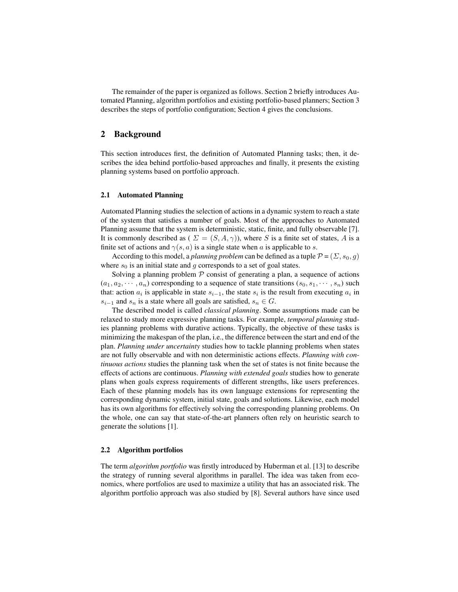The remainder of the paper is organized as follows. Section 2 briefly introduces Automated Planning, algorithm portfolios and existing portfolio-based planners; Section 3 describes the steps of portfolio configuration; Section 4 gives the conclusions.

### 2 Background

This section introduces first, the definition of Automated Planning tasks; then, it describes the idea behind portfolio-based approaches and finally, it presents the existing planning systems based on portfolio approach.

#### 2.1 Automated Planning

Automated Planning studies the selection of actions in a dynamic system to reach a state of the system that satisfies a number of goals. Most of the approaches to Automated Planning assume that the system is deterministic, static, finite, and fully observable [7]. It is commonly described as (  $\Sigma = (S, A, \gamma)$ ), where S is a finite set of states, A is a finite set of actions and  $\gamma(s, a)$  is a single state when a is applicable to s.

According to this model, a *planning problem* can be defined as a tuple  $\mathcal{P} = (\Sigma, s_0, q)$ where  $s_0$  is an initial state and g corresponds to a set of goal states.

Solving a planning problem  $P$  consist of generating a plan, a sequence of actions  $(a_1, a_2, \dots, a_n)$  corresponding to a sequence of state transitions  $(s_0, s_1, \dots, s_n)$  such that: action  $a_i$  is applicable in state  $s_{i-1}$ , the state  $s_i$  is the result from executing  $a_i$  in  $s_{i-1}$  and  $s_n$  is a state where all goals are satisfied,  $s_n \in G$ .

The described model is called *classical planning*. Some assumptions made can be relaxed to study more expressive planning tasks. For example, *temporal planning* studies planning problems with durative actions. Typically, the objective of these tasks is minimizing the makespan of the plan, i.e., the difference between the start and end of the plan. *Planning under uncertainty* studies how to tackle planning problems when states are not fully observable and with non deterministic actions effects. *Planning with continuous actions* studies the planning task when the set of states is not finite because the effects of actions are continuous. *Planning with extended goals* studies how to generate plans when goals express requirements of different strengths, like users preferences. Each of these planning models has its own language extensions for representing the corresponding dynamic system, initial state, goals and solutions. Likewise, each model has its own algorithms for effectively solving the corresponding planning problems. On the whole, one can say that state-of-the-art planners often rely on heuristic search to generate the solutions [1].

#### 2.2 Algorithm portfolios

The term *algorithm portfolio* was firstly introduced by Huberman et al. [13] to describe the strategy of running several algorithms in parallel. The idea was taken from economics, where portfolios are used to maximize a utility that has an associated risk. The algorithm portfolio approach was also studied by [8]. Several authors have since used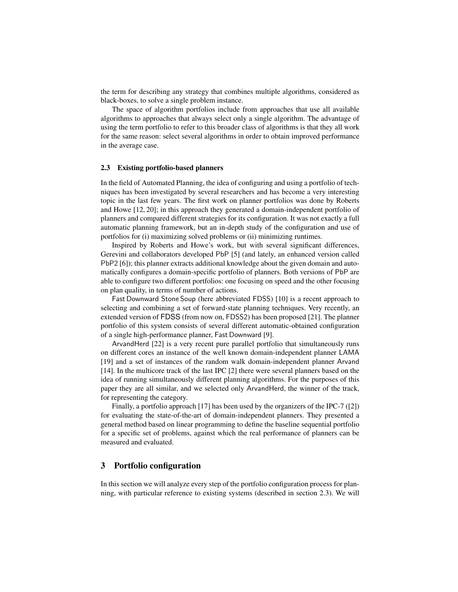the term for describing any strategy that combines multiple algorithms, considered as black-boxes, to solve a single problem instance.

The space of algorithm portfolios include from approaches that use all available algorithms to approaches that always select only a single algorithm. The advantage of using the term portfolio to refer to this broader class of algorithms is that they all work for the same reason: select several algorithms in order to obtain improved performance in the average case.

#### 2.3 Existing portfolio-based planners

In the field of Automated Planning, the idea of configuring and using a portfolio of techniques has been investigated by several researchers and has become a very interesting topic in the last few years. The first work on planner portfolios was done by Roberts and Howe [12, 20]; in this approach they generated a domain-independent portfolio of planners and compared different strategies for its configuration. It was not exactly a full automatic planning framework, but an in-depth study of the configuration and use of portfolios for (i) maximizing solved problems or (ii) minimizing runtimes.

Inspired by Roberts and Howe's work, but with several significant differences, Gerevini and collaborators developed PbP [5] (and lately, an enhanced version called PbP2 [6]); this planner extracts additional knowledge about the given domain and automatically configures a domain-specific portfolio of planners. Both versions of PbP are able to configure two different portfolios: one focusing on speed and the other focusing on plan quality, in terms of number of actions.

Fast Downward Stone Soup (here abbreviated FDSS) [10] is a recent approach to selecting and combining a set of forward-state planning techniques. Very recently, an extended version of FDSS (from now on, FDSS2) has been proposed [21]. The planner portfolio of this system consists of several different automatic-obtained configuration of a single high-performance planner, Fast Downward [9].

ArvandHerd [22] is a very recent pure parallel portfolio that simultaneously runs on different cores an instance of the well known domain-independent planner LAMA [19] and a set of instances of the random walk domain-independent planner Arvand [14]. In the multicore track of the last IPC [2] there were several planners based on the idea of running simultaneously different planning algorithms. For the purposes of this paper they are all similar, and we selected only ArvandHerd, the winner of the track, for representing the category.

Finally, a portfolio approach [17] has been used by the organizers of the IPC-7 ([2]) for evaluating the state-of-the-art of domain-independent planners. They presented a general method based on linear programming to define the baseline sequential portfolio for a specific set of problems, against which the real performance of planners can be measured and evaluated.

### 3 Portfolio configuration

In this section we will analyze every step of the portfolio configuration process for planning, with particular reference to existing systems (described in section 2.3). We will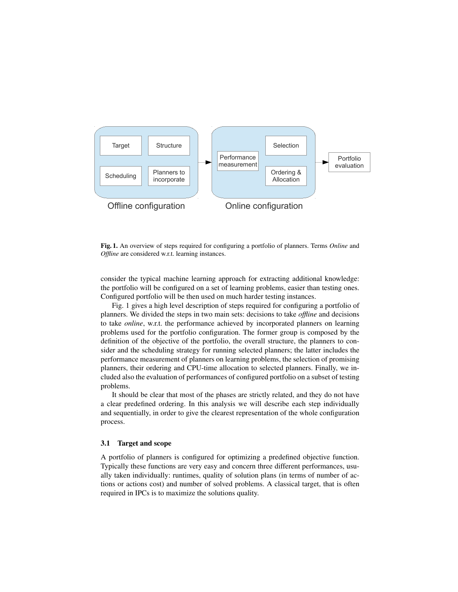

Fig. 1. An overview of steps required for configuring a portfolio of planners. Terms *Online* and *Offline* are considered w.r.t. learning instances.

consider the typical machine learning approach for extracting additional knowledge: the portfolio will be configured on a set of learning problems, easier than testing ones. Configured portfolio will be then used on much harder testing instances.

Fig. 1 gives a high level description of steps required for configuring a portfolio of planners. We divided the steps in two main sets: decisions to take *offline* and decisions to take *online*, w.r.t. the performance achieved by incorporated planners on learning problems used for the portfolio configuration. The former group is composed by the definition of the objective of the portfolio, the overall structure, the planners to consider and the scheduling strategy for running selected planners; the latter includes the performance measurement of planners on learning problems, the selection of promising planners, their ordering and CPU-time allocation to selected planners. Finally, we included also the evaluation of performances of configured portfolio on a subset of testing problems.

It should be clear that most of the phases are strictly related, and they do not have a clear predefined ordering. In this analysis we will describe each step individually and sequentially, in order to give the clearest representation of the whole configuration process.

#### 3.1 Target and scope

A portfolio of planners is configured for optimizing a predefined objective function. Typically these functions are very easy and concern three different performances, usually taken individually: runtimes, quality of solution plans (in terms of number of actions or actions cost) and number of solved problems. A classical target, that is often required in IPCs is to maximize the solutions quality.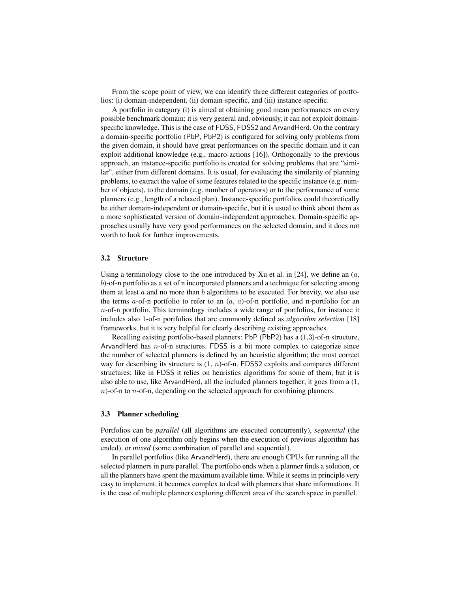From the scope point of view, we can identify three different categories of portfolios: (i) domain-independent, (ii) domain-specific, and (iii) instance-specific.

A portfolio in category (i) is aimed at obtaining good mean performances on every possible benchmark domain; it is very general and, obviously, it can not exploit domainspecific knowledge. This is the case of FDSS, FDSS2 and ArvandHerd. On the contrary a domain-specific portfolio (PbP, PbP2) is configured for solving only problems from the given domain, it should have great performances on the specific domain and it can exploit additional knowledge (e.g., macro-actions [16]). Orthogonally to the previous approach, an instance-specific portfolio is created for solving problems that are "similar", either from different domains. It is usual, for evaluating the similarity of planning problems, to extract the value of some features related to the specific instance (e.g. number of objects), to the domain (e.g. number of operators) or to the performance of some planners (e.g., length of a relaxed plan). Instance-specific portfolios could theoretically be either domain-independent or domain-specific, but it is usual to think about them as a more sophisticated version of domain-independent approaches. Domain-specific approaches usually have very good performances on the selected domain, and it does not worth to look for further improvements.

#### 3.2 Structure

Using a terminology close to the one introduced by Xu et al. in [24], we define an  $(a,$ b)-of-n portfolio as a set of n incorporated planners and a technique for selecting among them at least  $a$  and no more than  $b$  algorithms to be executed. For brevity, we also use the terms a-of-n portfolio to refer to an  $(a, a)$ -of-n portfolio, and n-portfolio for an n-of-n portfolio. This terminology includes a wide range of portfolios, for instance it includes also 1-of-n portfolios that are commonly defined as *algorithm selection* [18] frameworks, but it is very helpful for clearly describing existing approaches.

Recalling existing portfolio-based planners: PbP (PbP2) has a (1,3)-of-n structure, ArvandHerd has n-of-n structures. FDSS is a bit more complex to categorize since the number of selected planners is defined by an heuristic algorithm; the most correct way for describing its structure is  $(1, n)$ -of-n. FDSS2 exploits and compares different structures; like in FDSS it relies on heuristics algorithms for some of them, but it is also able to use, like ArvandHerd, all the included planners together; it goes from a (1,  $n$ )-of-n to  $n$ -of-n, depending on the selected approach for combining planners.

#### 3.3 Planner scheduling

Portfolios can be *parallel* (all algorithms are executed concurrently), *sequential* (the execution of one algorithm only begins when the execution of previous algorithm has ended), or *mixed* (some combination of parallel and sequential).

In parallel portfolios (like ArvandHerd), there are enough CPUs for running all the selected planners in pure parallel. The portfolio ends when a planner finds a solution, or all the planners have spent the maximum available time. While it seems in principle very easy to implement, it becomes complex to deal with planners that share informations. It is the case of multiple planners exploring different area of the search space in parallel.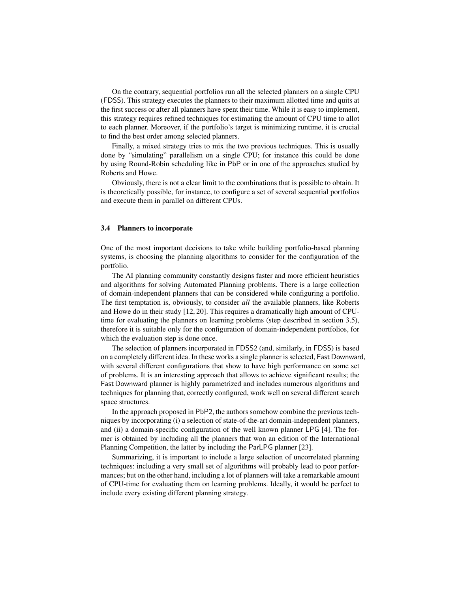On the contrary, sequential portfolios run all the selected planners on a single CPU (FDSS). This strategy executes the planners to their maximum allotted time and quits at the first success or after all planners have spent their time. While it is easy to implement, this strategy requires refined techniques for estimating the amount of CPU time to allot to each planner. Moreover, if the portfolio's target is minimizing runtime, it is crucial to find the best order among selected planners.

Finally, a mixed strategy tries to mix the two previous techniques. This is usually done by "simulating" parallelism on a single CPU; for instance this could be done by using Round-Robin scheduling like in PbP or in one of the approaches studied by Roberts and Howe.

Obviously, there is not a clear limit to the combinations that is possible to obtain. It is theoretically possible, for instance, to configure a set of several sequential portfolios and execute them in parallel on different CPUs.

#### 3.4 Planners to incorporate

One of the most important decisions to take while building portfolio-based planning systems, is choosing the planning algorithms to consider for the configuration of the portfolio.

The AI planning community constantly designs faster and more efficient heuristics and algorithms for solving Automated Planning problems. There is a large collection of domain-independent planners that can be considered while configuring a portfolio. The first temptation is, obviously, to consider *all* the available planners, like Roberts and Howe do in their study [12, 20]. This requires a dramatically high amount of CPUtime for evaluating the planners on learning problems (step described in section 3.5), therefore it is suitable only for the configuration of domain-independent portfolios, for which the evaluation step is done once.

The selection of planners incorporated in FDSS2 (and, similarly, in FDSS) is based on a completely different idea. In these works a single planner is selected, Fast Downward, with several different configurations that show to have high performance on some set of problems. It is an interesting approach that allows to achieve significant results; the Fast Downward planner is highly parametrized and includes numerous algorithms and techniques for planning that, correctly configured, work well on several different search space structures.

In the approach proposed in PbP2, the authors somehow combine the previous techniques by incorporating (i) a selection of state-of-the-art domain-independent planners, and (ii) a domain-specific configuration of the well known planner LPG [4]. The former is obtained by including all the planners that won an edition of the International Planning Competition, the latter by including the ParLPG planner [23].

Summarizing, it is important to include a large selection of uncorrelated planning techniques: including a very small set of algorithms will probably lead to poor performances; but on the other hand, including a lot of planners will take a remarkable amount of CPU-time for evaluating them on learning problems. Ideally, it would be perfect to include every existing different planning strategy.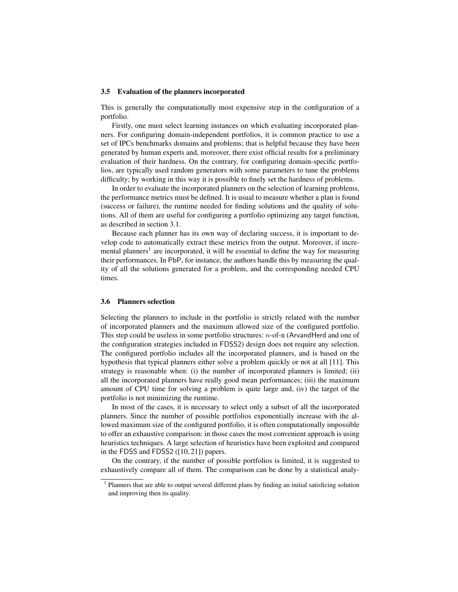#### 3.5 Evaluation of the planners incorporated

This is generally the computationally most expensive step in the configuration of a portfolio.

Firstly, one must select learning instances on which evaluating incorporated planners. For configuring domain-independent portfolios, it is common practice to use a set of IPCs benchmarks domains and problems; that is helpful because they have been generated by human experts and, moreover, there exist official results for a preliminary evaluation of their hardness. On the contrary, for configuring domain-specific portfolios, are typically used random generators with some parameters to tune the problems difficulty; by working in this way it is possible to finely set the hardness of problems.

In order to evaluate the incorporated planners on the selection of learning problems, the performance metrics must be defined. It is usual to measure whether a plan is found (success or failure), the runtime needed for finding solutions and the quality of solutions. All of them are useful for configuring a portfolio optimizing any target function, as described in section 3.1.

Because each planner has its own way of declaring success, it is important to develop code to automatically extract these metrics from the output. Moreover, if incremental planners<sup>1</sup> are incorporated, it will be essential to define the way for measuring their performances. In PbP, for instance, the authors handle this by measuring the quality of all the solutions generated for a problem, and the corresponding needed CPU times.

#### 3.6 Planners selection

Selecting the planners to include in the portfolio is strictly related with the number of incorporated planners and the maximum allowed size of the configured portfolio. This step could be useless in some portfolio structures:  $n$ -of-n (ArvandHerd and one of the configuration strategies included in FDSS2) design does not require any selection. The configured portfolio includes all the incorporated planners, and is based on the hypothesis that typical planners either solve a problem quickly or not at all [11]. This strategy is reasonable when: (i) the number of incorporated planners is limited; (ii) all the incorporated planners have really good mean performances; (iii) the maximum amount of CPU time for solving a problem is quite large and, (iv) the target of the portfolio is not minimizing the runtime.

In most of the cases, it is necessary to select only a subset of all the incorporated planners. Since the number of possible portfolios exponentially increase with the allowed maximum size of the configured portfolio, it is often computationally impossible to offer an exhaustive comparison: in those cases the most convenient approach is using heuristics techniques. A large selection of heuristics have been exploited and compared in the FDSS and FDSS2 ([10, 21]) papers.

On the contrary, if the number of possible portfolios is limited, it is suggested to exhaustively compare all of them. The comparison can be done by a statistical analy-

<sup>&</sup>lt;sup>1</sup> Planners that are able to output several different plans by finding an initial satisficing solution and improving then its quality.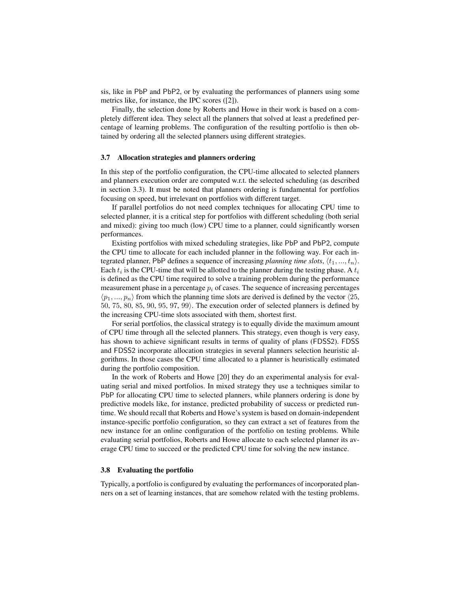sis, like in PbP and PbP2, or by evaluating the performances of planners using some metrics like, for instance, the IPC scores ([2]).

Finally, the selection done by Roberts and Howe in their work is based on a completely different idea. They select all the planners that solved at least a predefined percentage of learning problems. The configuration of the resulting portfolio is then obtained by ordering all the selected planners using different strategies.

#### 3.7 Allocation strategies and planners ordering

In this step of the portfolio configuration, the CPU-time allocated to selected planners and planners execution order are computed w.r.t. the selected scheduling (as described in section 3.3). It must be noted that planners ordering is fundamental for portfolios focusing on speed, but irrelevant on portfolios with different target.

If parallel portfolios do not need complex techniques for allocating CPU time to selected planner, it is a critical step for portfolios with different scheduling (both serial and mixed): giving too much (low) CPU time to a planner, could significantly worsen performances.

Existing portfolios with mixed scheduling strategies, like PbP and PbP2, compute the CPU time to allocate for each included planner in the following way. For each integrated planner, PbP defines a sequence of increasing *planning time slots*,  $\langle t_1, ..., t_n \rangle$ . Each  $t_i$  is the CPU-time that will be allotted to the planner during the testing phase. A  $t_i$ is defined as the CPU time required to solve a training problem during the performance measurement phase in a percentage  $p_i$  of cases. The sequence of increasing percentages  $\langle p_1, ..., p_n \rangle$  from which the planning time slots are derived is defined by the vector  $\langle 25, \rangle$ 50, 75, 80, 85, 90, 95, 97, 99 $\rangle$ . The execution order of selected planners is defined by the increasing CPU-time slots associated with them, shortest first.

For serial portfolios, the classical strategy is to equally divide the maximum amount of CPU time through all the selected planners. This strategy, even though is very easy, has shown to achieve significant results in terms of quality of plans (FDSS2). FDSS and FDSS2 incorporate allocation strategies in several planners selection heuristic algorithms. In those cases the CPU time allocated to a planner is heuristically estimated during the portfolio composition.

In the work of Roberts and Howe [20] they do an experimental analysis for evaluating serial and mixed portfolios. In mixed strategy they use a techniques similar to PbP for allocating CPU time to selected planners, while planners ordering is done by predictive models like, for instance, predicted probability of success or predicted runtime. We should recall that Roberts and Howe's system is based on domain-independent instance-specific portfolio configuration, so they can extract a set of features from the new instance for an online configuration of the portfolio on testing problems. While evaluating serial portfolios, Roberts and Howe allocate to each selected planner its average CPU time to succeed or the predicted CPU time for solving the new instance.

#### 3.8 Evaluating the portfolio

Typically, a portfolio is configured by evaluating the performances of incorporated planners on a set of learning instances, that are somehow related with the testing problems.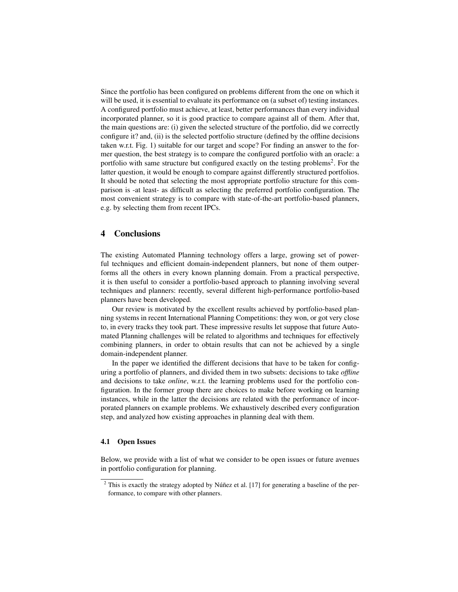Since the portfolio has been configured on problems different from the one on which it will be used, it is essential to evaluate its performance on (a subset of) testing instances. A configured portfolio must achieve, at least, better performances than every individual incorporated planner, so it is good practice to compare against all of them. After that, the main questions are: (i) given the selected structure of the portfolio, did we correctly configure it? and, (ii) is the selected portfolio structure (defined by the offline decisions taken w.r.t. Fig. 1) suitable for our target and scope? For finding an answer to the former question, the best strategy is to compare the configured portfolio with an oracle: a portfolio with same structure but configured exactly on the testing problems<sup>2</sup>. For the latter question, it would be enough to compare against differently structured portfolios. It should be noted that selecting the most appropriate portfolio structure for this comparison is -at least- as difficult as selecting the preferred portfolio configuration. The most convenient strategy is to compare with state-of-the-art portfolio-based planners, e.g. by selecting them from recent IPCs.

## 4 Conclusions

The existing Automated Planning technology offers a large, growing set of powerful techniques and efficient domain-independent planners, but none of them outperforms all the others in every known planning domain. From a practical perspective, it is then useful to consider a portfolio-based approach to planning involving several techniques and planners: recently, several different high-performance portfolio-based planners have been developed.

Our review is motivated by the excellent results achieved by portfolio-based planning systems in recent International Planning Competitions: they won, or got very close to, in every tracks they took part. These impressive results let suppose that future Automated Planning challenges will be related to algorithms and techniques for effectively combining planners, in order to obtain results that can not be achieved by a single domain-independent planner.

In the paper we identified the different decisions that have to be taken for configuring a portfolio of planners, and divided them in two subsets: decisions to take *offline* and decisions to take *online*, w.r.t. the learning problems used for the portfolio configuration. In the former group there are choices to make before working on learning instances, while in the latter the decisions are related with the performance of incorporated planners on example problems. We exhaustively described every configuration step, and analyzed how existing approaches in planning deal with them.

#### 4.1 Open Issues

Below, we provide with a list of what we consider to be open issues or future avenues in portfolio configuration for planning.

 $2$  This is exactly the strategy adopted by Núñez et al. [17] for generating a baseline of the performance, to compare with other planners.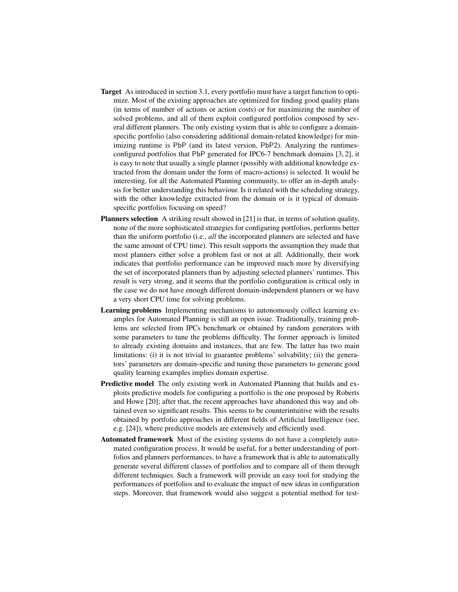- Target As introduced in section 3.1, every portfolio must have a target function to optimize. Most of the existing approaches are optimized for finding good quality plans (in terms of number of actions or action costs) or for maximizing the number of solved problems, and all of them exploit configured portfolios composed by several different planners. The only existing system that is able to configure a domainspecific portfolio (also considering additional domain-related knowledge) for minimizing runtime is PbP (and its latest version, PbP2). Analyzing the runtimesconfigured portfolios that PbP generated for IPC6-7 benchmark domains [3, 2], it is easy to note that usually a single planner (possibly with additional knowledge extracted from the domain under the form of macro-actions) is selected. It would be interesting, for all the Automated Planning community, to offer an in-depth analysis for better understanding this behaviour. Is it related with the scheduling strategy, with the other knowledge extracted from the domain or is it typical of domainspecific portfolios focusing on speed?
- Planners selection A striking result showed in [21] is that, in terms of solution quality, none of the more sophisticated strategies for configuring portfolios, performs better than the uniform portfolio (i.e., *all* the incorporated planners are selected and have the same amount of CPU time). This result supports the assumption they made that most planners either solve a problem fast or not at all. Additionally, their work indicates that portfolio performance can be improved much more by diversifying the set of incorporated planners than by adjusting selected planners' runtimes. This result is very strong, and it seems that the portfolio configuration is critical only in the case we do not have enough different domain-independent planners or we have a very short CPU time for solving problems.
- Learning problems Implementing mechanisms to autonomously collect learning examples for Automated Planning is still an open issue. Traditionally, training problems are selected from IPCs benchmark or obtained by random generators with some parameters to tune the problems difficulty. The former approach is limited to already existing domains and instances, that are few. The latter has two main limitations: (i) it is not trivial to guarantee problems' solvability; (ii) the generators' parameters are domain-specific and tuning these parameters to generate good quality learning examples implies domain expertise.
- Predictive model The only existing work in Automated Planning that builds and exploits predictive models for configuring a portfolio is the one proposed by Roberts and Howe [20]; after that, the recent approaches have abandoned this way and obtained even so significant results. This seems to be counterintuitive with the results obtained by portfolio approaches in different fields of Artificial Intelligence (see, e.g. [24]), where predictive models are extensively and efficiently used.
- Automated framework Most of the existing systems do not have a completely automated configuration process. It would be useful, for a better understanding of portfolios and planners performances, to have a framework that is able to automatically generate several different classes of portfolios and to compare all of them through different techniques. Such a framework will provide an easy tool for studying the performances of portfolios and to evaluate the impact of new ideas in configuration steps. Moreover, that framework would also suggest a potential method for test-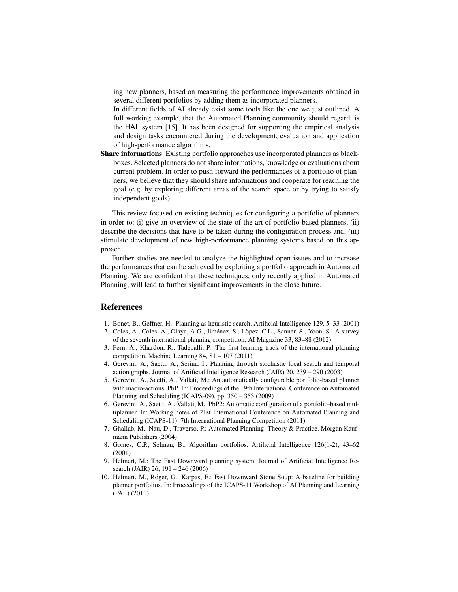ing new planners, based on measuring the performance improvements obtained in several different portfolios by adding them as incorporated planners.

In different fields of AI already exist some tools like the one we just outlined. A full working example, that the Automated Planning community should regard, is the HAL system [15]. It has been designed for supporting the empirical analysis and design tasks encountered during the development, evaluation and application of high-performance algorithms.

Share informations Existing portfolio approaches use incorporated planners as blackboxes. Selected planners do not share informations, knowledge or evaluations about current problem. In order to push forward the performances of a portfolio of planners, we believe that they should share informations and cooperate for reaching the goal (e.g. by exploring different areas of the search space or by trying to satisfy independent goals).

This review focused on existing techniques for configuring a portfolio of planners in order to: (i) give an overview of the state-of-the-art of portfolio-based planners, (ii) describe the decisions that have to be taken during the configuration process and, (iii) stimulate development of new high-performance planning systems based on this approach.

Further studies are needed to analyze the highlighted open issues and to increase the performances that can be achieved by exploiting a portfolio approach in Automated Planning. We are confident that these techniques, only recently applied in Automated Planning, will lead to further significant improvements in the close future.

## References

- 1. Bonet, B., Geffner, H.: Planning as heuristic search. Artificial Intelligence 129, 5–33 (2001)
- 2. Coles, A., Coles, A., Olaya, A.G., Jiménez, S., Lòpez, C.L., Sanner, S., Yoon, S.: A survey of the seventh international planning competition. AI Magazine 33, 83–88 (2012)
- 3. Fern, A., Khardon, R., Tadepalli, P.: The first learning track of the international planning competition. Machine Learning 84, 81 – 107 (2011)
- 4. Gerevini, A., Saetti, A., Serina, I.: Planning through stochastic local search and temporal action graphs. Journal of Artificial Intelligence Research (JAIR) 20, 239 – 290 (2003)
- 5. Gerevini, A., Saetti, A., Vallati, M.: An automatically configurable portfolio-based planner with macro-actions: PbP. In: Proceedings of the 19th International Conference on Automated Planning and Scheduling (ICAPS-09). pp. 350 – 353 (2009)
- 6. Gerevini, A., Saetti, A., Vallati, M.: PbP2: Automatic configuration of a portfolio-based multiplanner. In: Working notes of 21st International Conference on Automated Planning and Scheduling (ICAPS-11) 7th International Planning Competition (2011)
- 7. Ghallab, M., Nau, D., Traverso, P.: Automated Planning: Theory & Practice. Morgan Kaufmann Publishers (2004)
- 8. Gomes, C.P., Selman, B.: Algorithm portfolios. Artificial Intelligence 126(1-2), 43–62 (2001)
- 9. Helmert, M.: The Fast Downward planning system. Journal of Artificial Intelligence Research (JAIR) 26, 191 – 246 (2006)
- 10. Helmert, M., Röger, G., Karpas, E.: Fast Downward Stone Soup: A baseline for building planner portfolios. In: Proceedings of the ICAPS-11 Workshop of AI Planning and Learning (PAL) (2011)